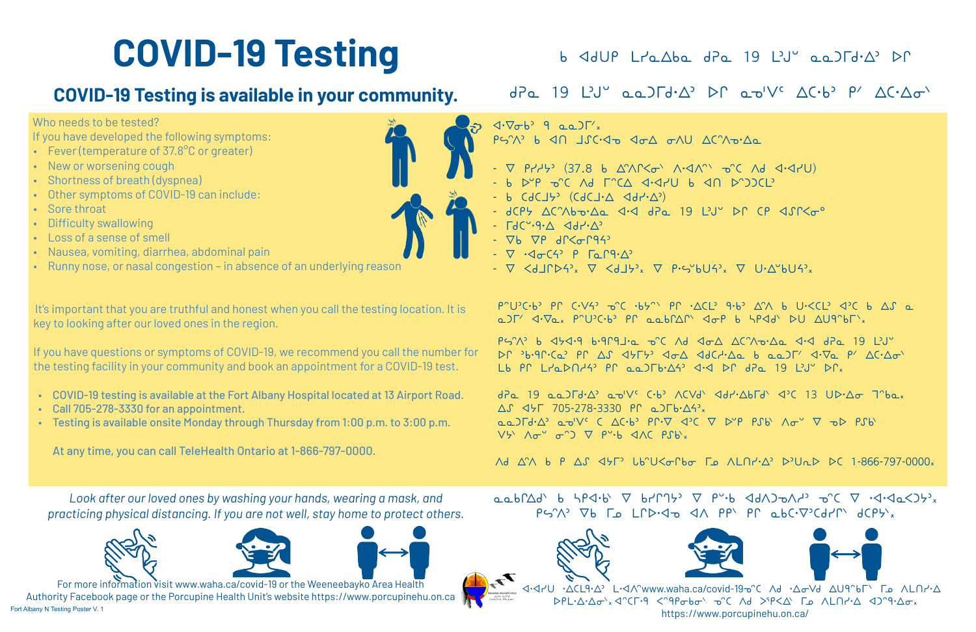### **COVID-19 Testing is available in your community.**

#### Who needs to be tested?

If you have developed the following symptoms:

- Fever (temperature of 37.8°C or greater)
- New or worsening cough
- Shortness of breath (dyspnea)
- • Other symptoms of COVID-19 can include:
- Sore throat
- • Difficulty swallowing
- • Loss of a sense of smell
- • Nausea, vomiting, diarrhea, abdominal pain
- Runny nose, or nasal congestion in absence of an underlying reason

It's important that you are truthful and honest when you call the testing location. It is key to looking after our loved ones in the region.

- • COVID-19 testing is available at the Fort Albany Hospital located at 13 Airport Road.
- • Call 705-278-3330 for an appointment.
- Testing is available onsite Monday through Thursday from 1:00 p.m. to 3:00 p.m.

Fort Albany N Testing Poster V. 1 For more information visit www.waha.ca/covid-19 or the Weeneebayko Area Health Authority Facebook page or the Porcupine Health Unit's website https://www.porcupinehu.on.ca

If you have questions or symptoms of COVID-19, we recommend you call the number for the testing facility in your community and book an appointment for a COVID-19 test.

At any time, you can call TeleHealth Ontario at 1-866-797-0000.

*Look after our loved ones by washing your hands, wearing a mask, and practicing physical distancing. If you are not well, stay home to protect others.*







  $P5^{\prime\prime}$   $\nabla b$   $\Gamma_{\Omega}$   $\Gamma \Gamma D \cdot 4\pi$   $4\Lambda$   $PP^{\prime}$   $PP^{\prime}$   $\Omega bC \cdot \nabla C dP^{\prime}$   $dCP5^{\prime}$ 





 $\mathcal{T}_{\mathcal{T}_{\mathcal{T}}}$ ALAY مـا ALAY Lahr -∆CL۹۰∆° L An'www.waha.ca/covid-19 ^C^ Ad^^  $PPL \cdot \Delta \cdot \Delta \sigma$ ,  $\Delta^{\circ}CP \cdot 9$  <  $\gamma^{\circ}CP \cdot \sigma^{\circ}C$  and  $\gamma^{\circ}P \leq \Delta^{\circ}$  and  $\Delta^{\circ}P \leq \Delta^{\circ}CP \cdot \Delta \sigma^{\circ}$ https://www.porcupinehu.on.ca/

 $dPa$  19  $LJ^{\circ}$  aa) $Td^{\circ}\Delta^{\circ}$  bf av'V'  $\Delta$ ( $\cdot b^{\circ}$   $\rho^{\circ}$   $\Delta$ ( $\cdot\Delta\sigma^{\circ}$ 

 $b$   $\triangleleft$ dup Lra $\triangle$ ba dpa 19 Lu<sup>o</sup> aa) $\Gamma d \cdot \triangleleft^3$  Dr



- $\nabla$   $P_1$   $P_2$   $\rightarrow$   $(37.8)$  b  $\triangle^n$   $\triangle^n$   $\triangle^n$   $\triangle^n$   $\triangle^n$   $\triangle^n$   $\triangle^n$   $\triangle^n$   $\triangle^n$   $\triangle^n$   $\triangle^n$   $\triangle^n$   $\triangle^n$   $\triangle^n$   $\triangle^n$   $\triangle^n$   $\triangle^n$   $\triangle^n$   $\triangle^n$   $\triangle^n$   $\triangle^n$   $\triangle^n$   $\triangle^n$   $\triangle^n$   $\triangle^n$   $\triangle^n$
- 6 DYP O'C Ad F'CA 4.47U 6 4N D'JJCL'
- $P$   $C9C7A$ ,  $(C9C7\cdot\triangledown$   $Q9A\cdot\triangledown$
- JCP5 ACMbo. Aa 4.4 JPa 19 L'J" DP CP 4SP<o0
- $\Gamma dC^{\vee}.9\cdot\Delta$   $\Delta d\Gamma\cdot\Delta$
- $\nabla b$   $\nabla P$   $d$  $\Gamma$   $\sim$   $\Gamma$   $9$   $4$
- $\nabla \cdot 3\sigma G$   $\rho$   $\Gamma_{\alpha}$  $\rho_1 \Delta$
- $\nabla$   $\langle$ dJ $\Gamma$ D $\gamma$ <sup>2</sup>  $\nabla$   $\langle$ dJ $\rangle$ <sup>2</sup>  $\nabla$   $\rho$ ·s
"bU $\gamma$ <sup>2</sup>  $\nabla$  U· $\Delta$ "bU $\gamma$ 2  $\nabla$

 $P^{\circ}U^{\circ}C \cdot b$ <sup>2</sup>  $P \cap C \cdot V4$ <sup>2</sup>  $\neg C \cdot b$ <sup>2</sup> $\wedge$   $P \cap \neg \Delta CL$ <sup>2</sup>  $q \cdot b$ <sup>2</sup>  $\triangle Y \cap b$   $\wedge$   $U \cdot \triangle CL$ <sup>2</sup>  $\wedge$   $C$   $C$   $D \cap \neg C$ a) I' < 4. Vax P C'U'C.b' Pr aabrar < 40P b 5P<4' DU AU9"bl' x

 $P5^{\prime\prime}$  b  $454.9$  b.9 $P91 \cdot a$  or  $Ad$   $4\sigma\Delta$   $\Delta$  $C^{\prime\prime}$  o $\Delta a$   $4\cdot 4$  dPa 19 L'J' Lb PP LIQDAI4' PP QQDFb.  $\Delta$ 4' <4 DP dPq 19 L'J" DP<sub>x</sub>

 $dPQ$  19  $QQDQ \cdot \Delta^2$   $QQ'V'$  ( $b$ )  $\Lambda$ CVd  $\Lambda$ dd $\Lambda$ . $\Lambda$ brd  $\Lambda$  2 (13 UD $\Lambda$  $\Delta \sigma$  T $\Lambda$  $Q_{\Lambda}$  $\Delta$  $\sqrt{5}$   $\sqrt{45}$  705-278-3330 PC a) $\sqrt{6}$ .  $\Delta$  $\sqrt{2}$  $Q \subset D$  $Q \cdot Q$   $Q \sim Q$  $Q \cdot Q$   $Q \cdot Q$   $Q \cdot Q$   $Q \cdot Q$   $Q \cdot Q$   $Q \cdot Q$   $Q \cdot Q$   $Q \cdot Q$   $Q \cdot Q$   $Q \cdot Q$   $Q \cdot Q$   $Q \cdot Q$   $Q \cdot Q$  $VY$   $\wedge \sigma^{\vee}$   $\sigma^{\wedge}$   $\nabla$   $P^{\vee}$   $\cdot$   $\vdash$   $\triangleleft$   $\wedge$   $\in$   $P_{}$   $\vee$   $\star$ 

 $\triangle$  Ad  $\triangle$  A  $\triangle$  A  $\triangle$  A  $\triangle$  ALO  $\triangle$  ALO  $\triangle$  ALO  $\triangle$  AV  $\triangle$  AV  $\triangle$  AV  $\triangle$  AV  $\triangle$  AV  $\triangle$  AV  $\triangle$  AV  $\triangle$  AV  $\triangle$  AV  $\triangle$  AV  $\triangle$  AV  $\triangle$  AV  $\triangle$  AV  $\triangle$  AV  $\triangle$  AV  $\triangle$  AV  $\triangle$  AV  $\triangle$  AV  $\triangle$  AV  $\triangle$  AV  $\triangle$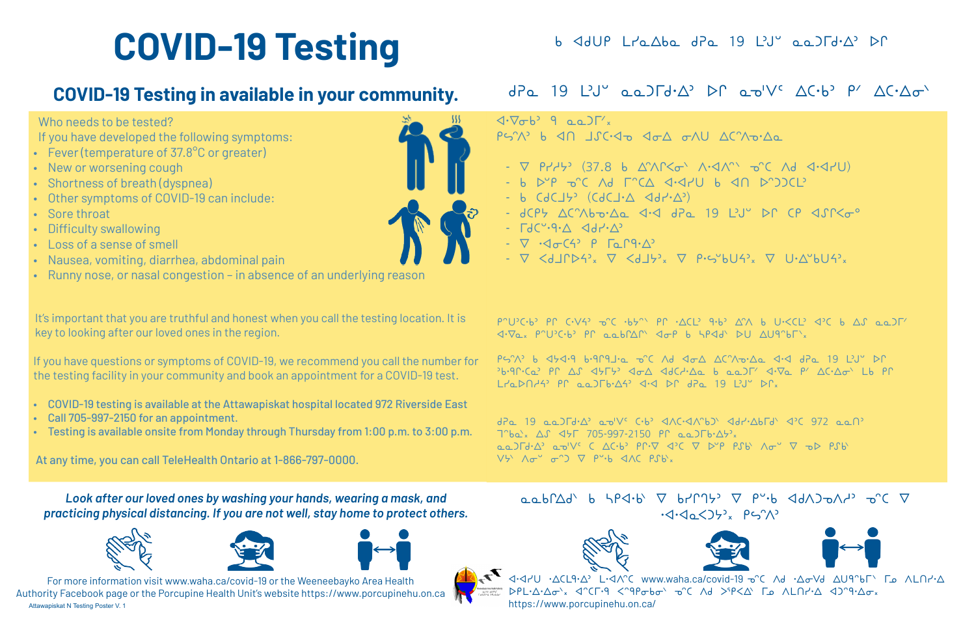#### $b$   $\triangleleft$ dup Lra $\triangle$ ba dpa 19 Lu $\triangleleft$  aa) $\Gamma$ d $\triangleleft$   $\triangleleft$   $\triangleright$

## **COVID-19 Testing in available in your community.**

#### Who needs to be tested?

If you have developed the following symptoms:

- Fever (temperature of  $37.8^{\circ}$ C or greater)
- New or worsening cough
- Shortness of breath (dyspnea)
- Other symptoms of COVID-19 can include:
- Sore throat
- • Difficulty swallowing
- • Loss of a sense of smell
- Nausea, vomiting, diarrhea, abdominal pain
- • Runny nose, or nasal congestion in absence of an underlying reason

- • COVID-19 testing is available at the Attawapiskat hospital located 972 Riverside East
- • Call 705-997-2150 for an appointment.
- Testing is available onsite from Monday through Thursday from 1:00 p.m. to 3:00 p.m.

It's important that you are truthful and honest when you call the testing location. It is key to looking after our loved ones in the region.

Attawapiskat N Testing Poster V. 1 For more information visit www.waha.ca/covid-19 or the Weeneebayko Area Health Authority Facebook page or the Porcupine Health Unit's website https://www.porcupinehu.on.ca



# $\alpha \alpha b \Delta d$  b  $\beta$ 9.6  $\nabla$   $\alpha b$  $\gamma$ 9.7  $\nabla$   $\rho$ .6  $\beta$  $\Delta d$





If you have questions or symptoms of COVID-19, we recommend you call the number for the testing facility in your community and book an appointment for a COVID-19 test.

At any time, you can call TeleHealth Ontario at 1-866-797-0000.

*Look after our loved ones by washing your hands, wearing a mask, and practicing physical distancing. If you are not well, stay home to protect others.*







A-4HU . ACL9. A' L. ANC www.waha.ca/covid-19 or Ad . Advd AU9rbr Lo ALNY. A DPL·Δ·Δσ'x <1°CΓ·9 <29Pσbσ' το ΛΔ >9P<Δ' Γο ΛΕΠΗ·Δ <10°9·Δσχ https://www.porcupinehu.on.ca/

### $dPa$  19  $LJ^{\circ}$  aa) $Td^{\circ}\Delta^{\circ}$  bf ao' $V^{\circ}$   $\Delta$ ( $\cdot b^{\circ}$   $\rho^{\circ}$   $\Delta$ ( $\cdot\Delta\sigma^{\circ}$

 $PS^2N$  b <1 J $SC$ <do <do $\triangle$  onU  $\triangle C^2\wedge^6\triangle$ 

- $\nabla$   $P Y^2 Y^3$  (37.8 b  $\triangle Y \triangle Y^3 \triangle Y^4 \triangle Y^3$  and  $\triangle Y \triangle Y^4$ )
- $-$  6  $D^{\circ}P$   $D^{\circ}C$  Ad  $\Gamma^{\circ}CA$   $\triangleleft\neg\bot$  6  $\triangleleft\cap$   $D^{\circ}DCC$
- $-$  P C9CTA, (C9CT·V <194.V<sub>2</sub>)
- JCP5 ACMbo. Aa d-d d-a 19 L'J DP CP dJP<o0
- $\Gamma dC^{\vee} \cdot 9 \cdot \triangle \triangle \triangle dP \cdot \triangle^2$
- $\nabla \cdot 3\sigma G$ <sup>2</sup>  $\rho$   $\Gamma_2 \Gamma 9 \cdot \Delta^3$
- $\nabla$   $\langle$ dJ $\Gamma$  $\rangle$ 4',  $\nabla$   $\langle$ dJ $\rangle$ ,  $\nabla$   $\rho$ · $\varsigma$  $\langle$ bU4',  $\nabla$  U· $\Delta$  $\langle$ bU4',

 $P^{\circ}U^{\circ}C\cdot b$ <sup>2</sup>  $PP^{\circ}C\cdot bZ^{\circ}$   $Q^{\circ}C\cdot bZ^{\circ}$   $Q^{\circ}C\cdot bZ^{\circ}$   $Q^{\circ}C\cdot bZ^{\circ}$   $Q^{\circ}C\cdot bZ^{\circ}$   $Q^{\circ}C\cdot bZ^{\circ}$   $Q^{\circ}C\cdot bZ^{\circ}$  $\langle 1-\nabla_{\alpha}x P^{\alpha}U^{3}C\cdot b^{3}P\cap\alpha\alpha b\Gamma\Delta\Gamma^{\vee}\langle 1-\nabla_{\alpha}P b A^{3}P^{\dagger}\rangle\langle 1-\nabla_{\alpha}X P^{\dagger}\rangle\langle 1-\nabla_{\alpha}X P^{\dagger}\rangle\langle 1-\nabla_{\alpha}X P^{\dagger}\rangle\langle 1-\nabla_{\alpha}X P^{\dagger}\rangle\langle 1-\nabla_{\alpha}X P^{\dagger}\rangle\langle 1-\nabla_{\alpha}X P^{\dagger}\rangle\langle 1-\nabla_{\alpha}X P^{\dagger}\rangle\langle 1-\nabla$ 

 $PS'N$  b  $454.9$  b.9 $P9J \cdot a$  or Ad  $4\sigma\Delta$   $\Delta$ cho $\Delta a$   $4.4$  dPa 19 LV DP  $L \sim \sim 19$  PC aa) $\Gamma b \cdot \Delta 4$  did at  $\Delta P$  did  $19$   $L \cdot 19$  br,

 $dPa$  19 aa) $Td^a$  avvector (1)  $dA^a$ (1)  $dA^b$  $7^{\circ}$ ba $^{\circ}$ x  $\Delta$  $\mathcal{S}$   $\Delta$  $\mathcal{F}$  705-997-2150 Pr aa) $\Gamma$ b· $\Delta$  $\mathcal{F}$ <sub>x</sub>  $V$ }  $\Lambda \sigma^{\circ} \sigma^{\circ}$   $\nabla P^{\circ} \cdot b$   $\Delta \Lambda C P \cdot b \cdot x$ 

 $\langle \cdot \nabla \sigma b \cdot \varphi \rangle$  and  $\langle \cdot \nabla \sigma b \cdot \varphi \rangle = \langle \cdot \rangle$ 



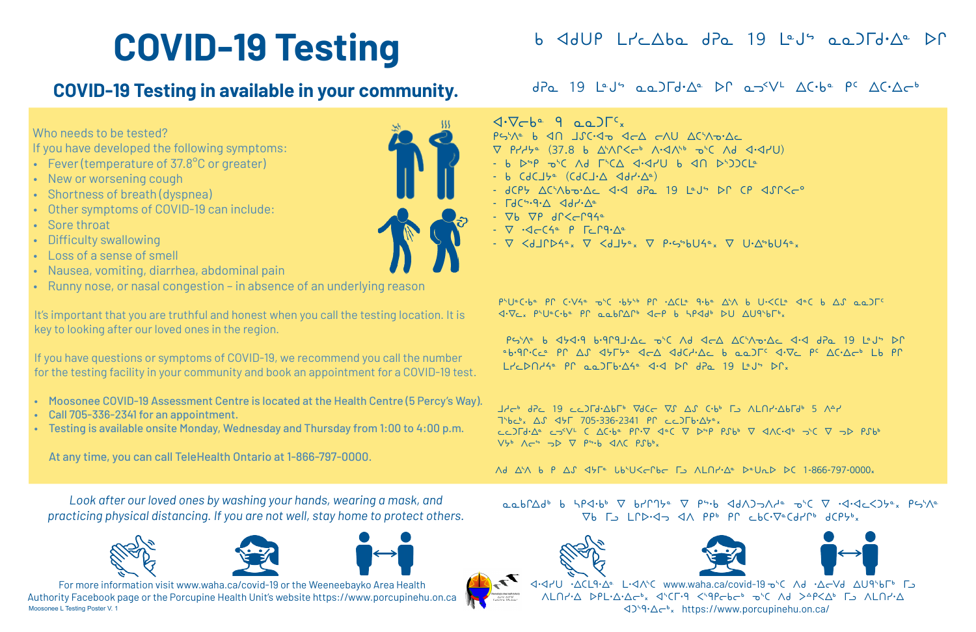## **COVID-19 Testing in available in your community.**

Who needs to be tested?

If you have developed the following symptoms:

- Fever (temperature of 37.8°C or greater)
- • New or worsening cough
- Shortness of breath (dyspnea)
- Other symptoms of COVID-19 can include:
- Sore throat
- • Difficulty swallowing
- Loss of a sense of smell
- Nausea, vomiting, diarrhea, abdominal pain
- Runny nose, or nasal congestion in absence of an underlying reason

It's important that you are truthful and honest when you call the testing location. It is key to looking after our loved ones in the region.

Moosonee L Testing Poster V. 1 For more information visit www.waha.ca/covid-19 or the Weeneebayko Area Health Authority Facebook page or the Porcupine Health Unit's website https://www.porcupinehu.on.ca

### $\sqrt{1-\sqrt{C}}$   $\sqrt{9}$   $\sqrt{2-\sqrt{C}}$

- 
- 
- 
- 
- $\Gamma dC$   $\rightarrow$   $\Gamma$   $\rightarrow$   $\Gamma$   $\rightarrow$   $\Gamma$
- $\nabla b$   $\nabla P$   $d\Gamma < \Gamma$ 94 $\Omega$
- $\nabla \cdot 2 C$
- 

 $P55/2$  b  $454.9$   $P191.4c$   $D5C$   $Ad$   $4c\Delta$   $AC5/2$ "b.9r.CC" Pr AS <1554 <16A <16C1.Ac b aa)FC <1.7c PC AC.Ac" Lb Pr  $L7LP\Omega74$ <sup>a</sup> PP aa) $Tb \cdot \Delta4$ a d $\Delta P$  d $Pa$  19 Laus DP<sub>x</sub>

If you have questions or symptoms of COVID-19, we recommend you call the number for the testing facility in your community and book an appointment for a COVID-19 test.

- Moosonee COVID-19 Assessment Centre is located at the Health Centre (5 Percy's Way).
- • Call 705-336-2341 for an appointment.
- Testing is available onsite Monday, Wednesday and Thursday from 1:00 to 4:00 p.m.

At any time, you can call TeleHealth Ontario at 1-866-797-0000.

*Look after our loved ones by washing your hands, wearing a mask, and practicing physical distancing. If you are not well, stay home to protect others.*







PS: A SA JSC. JO JSC. JO AND AC'AO'AC  $\nabla P Y Y^2 (37.8 b \Delta^4 \Lambda^2 \zeta^{-6} \Lambda^4 \Delta^4 b \partial^4 \zeta^{-1} \zeta)$  $-$  6  $\triangleright$   $\triangleright$   $\triangleright$   $\triangleright$   $\triangleleft$   $\triangleleft$   $\triangleright$   $\triangleleft$   $\triangleleft$   $\triangleright$   $\triangleleft$   $\triangleright$   $\triangleleft$   $\triangleright$   $\triangleleft$   $\triangleright$   $\triangleleft$   $\triangleright$   $\triangleleft$   $\triangleright$   $\triangleleft$   $\triangleright$   $\triangleleft$   $\triangleright$   $\triangleleft$   $\triangleright$   $\triangleleft$   $\triangleright$   $\triangleleft$   $\triangleright$   $\triangleleft$   $\triangleright$   $\triangleleft$   $-$  P C9C  $17e$  (C9C  $1.7$   $491.7e$ ) - JCPY ACYAbo. Ac 4.4 JPa 19 Leus DP CP 4SP<cº - V <dJCD4ex V <dJ5ex V P.SSbU4ex V U.ASbU4ex  $P^tU^cC^t$   $P \cap C^tVA^c$   $D^tC$   $B^tV^b$   $P \cap C^tA C^c$   $Q^tB^c$   $\Delta^tA$   $B \cup C^tC^c$   $Q^cC$   $B \Delta C$   $\Delta C$   $\Delta D \Gamma^c$  $\sqrt{1-\sqrt{2}}$   $\sqrt{1-\sqrt{2}}$   $\sqrt{1-\sqrt{2}}$   $\sqrt{2-\sqrt{2}}$   $\sqrt{2-\sqrt{2}}$   $\sqrt{2-\sqrt{2}}$   $\sqrt{2-\sqrt{2}}$   $\sqrt{2-\sqrt{2}}$   $\sqrt{2-\sqrt{2}}$   $\sqrt{2-\sqrt{2}}$   $\sqrt{2-\sqrt{2}}$   $\sqrt{2-\sqrt{2}}$   $\sqrt{2-\sqrt{2}}$   $\sqrt{2-\sqrt{2}}$   $\sqrt{2-\sqrt{2}}$   $\sqrt{2-\sqrt{2}}$   $\sqrt{2-\sqrt{2}}$   $\sqrt{2-\sqrt{2}}$   $\sqrt{2$ JAC<sup>6</sup> dPc 19 CCDFd<sup>.</sup>AbF<sup>6</sup> VdCc VS AS C.b<sup>6</sup> FJ ALNI<sup>.</sup>AbFd<sup>6</sup> 5 A<sup>2</sup>H 765x AS 45F 705-336-2341 PP cc)F6.A52x CCJFd. A C-SVL C AC.ba PP.V 4aC V DSP PSbb V AAC.4b SC V SD PSbb  $V5^6$   $\Lambda$ c<sup>s</sup>  $\neg$   $D$   $\nabla$   $P5.6$   $\triangleleft$   $\Lambda$ C  $P5b^6$ <sub>x</sub> 

 Vb L LLD. JA PP PL CPC. AGLLP 9CP7.





<d-VU . ΔCL9.Δ C L.<d/A C www.waha.ca/covid-19 - δ Λ Δ . Δ - Δ - Δ Δ Δ Δ Δ Δ Δ - Δ - Δ - Δ Δ Δ Δ Δ Δ Δ Δ Δ Δ Δ ΛLΠΗΔ DPL.Δ.ΔCbx d'CL.9 <'9PCbCb d'C Ad >AP<Δb Γ ALΠΗΔ https://www.porcupinehu.on.ca/





#### $dPa$  19  $L^dJ^d$  aa) $Td^dR^e$  bf answe AC.be pc  $\Delta C \cdot \Delta \tau^b$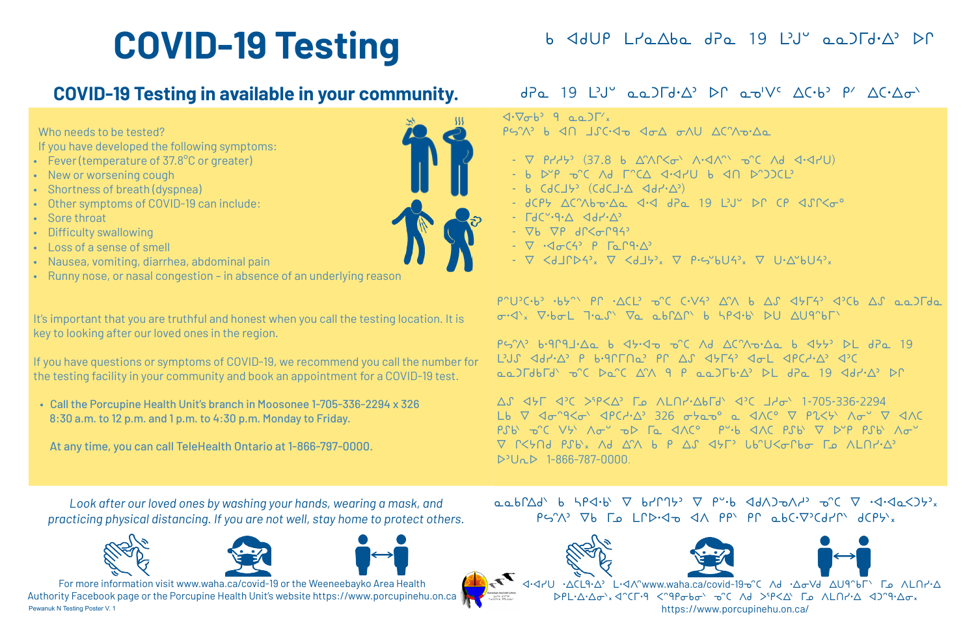### $b$   $\triangleleft$ dup Lra $\triangle$ ba dpa 19 Lu' aa) $\Gamma$ d. $\triangleleft$ ' Dr

## **COVID-19 Testing in available in your community.**

Who needs to be tested?

If you have developed the following symptoms:

- Fever (temperature of 37.8°C or greater)
- New or worsening cough
- Shortness of breath (dyspnea)
- • Other symptoms of COVID-19 can include:
- Sore throat
- Difficulty swallowing
- • Loss of a sense of smell
- Nausea, vomiting, diarrhea, abdominal pain
- Runny nose, or nasal congestion in absence of an underlying reason

It's important that you are truthful and honest when you call the testing location. It is key to looking after our loved ones in the region.

Pewanuk N Testing Poster V. 1 For more information visit www.waha.ca/covid-19 or the Weeneebayko Area Health Authority Facebook page or the Porcupine Health Unit's website https://www.porcupinehu.on.ca  $aab\Delta d$  b  $hQ_1b$   $\nabla$   $bHQ_2$   $\nabla$   $P^{\nu}b$   $d\Delta b$   $\Delta d^{\nu}$   $\sigma^{\nu}C$   $\nabla$   $\Delta d^{\nu}d\Delta b^{\nu}$  $PS'$ )  $\triangledown$ b  $\Gamma$   $\Omega$   $\Gamma$  $\triangleright$   $\triangleleft$   $\triangleright$   $\triangleleft$   $\wedge$   $PP'$   $PP'$   $\vartriangleleft$   $\mathsf{DC}$   $\cdot$   $\triangledown$   $\triangleleft$   $\triangleleft$   $\wedge$   $\vartriangleleft$   $\vee$   $\vee$   $\vee$   $\vee$   $\vee$   $\vee$   $\vee$   $\vee$   $\vee$   $\vee$   $\vee$   $\vee$   $\vee$   $\vee$   $\vee$   $\vee$   $\$ 





If you have questions or symptoms of COVID-19, we recommend you call the number for the testing facility in your community and book an appointment for a COVID-19 test.

 $\langle \cdot \nabla \sigma b \cdot \nabla \cdot \mathbf{Q} \cdot \mathbf{Q} \cdot \mathbf{Q} \cdot \nabla \cdot \mathbf{Q} \cdot \mathbf{Q} \cdot \mathbf{Q} \cdot \mathbf{Q} \cdot \mathbf{Q} \cdot \mathbf{Q} \cdot \mathbf{Q} \cdot \mathbf{Q} \cdot \mathbf{Q} \cdot \mathbf{Q} \cdot \mathbf{Q} \cdot \mathbf{Q} \cdot \mathbf{Q} \cdot \mathbf{Q} \cdot \mathbf{Q} \cdot \mathbf{Q} \cdot \mathbf{Q} \cdot \mathbf{Q} \cdot \mathbf{Q} \cdot \mathbf{Q} \cdot \mathbf{Q} \cdot \mathbf$ 

- 7 PYYY' (37.8 b A'ALSO' A.JA" O'C Ad J.JYU)
- 6 PP OC Ad FCA 4.47U 6 4N PODCL
- P  $C9C7A$ ,  $(C9C7\cdot\triangledown \triangleleft A1\cdot\triangledown)$
- JCP5 ACMbo. Aa d-d d-a 19 L'J" DP CP 4JP<00
- $\Gamma dC^{\vee} \cdot 9 \cdot \Delta$   $\Delta d\Gamma \cdot \Delta$
- $\nabla$ b  $\nabla$ P dr $\lt_{\sigma}$ r94'
- $\nabla$   $\cdot$ <dock  $\rho$   $\Gamma$   $\Omega$   $\Omega$  $\cdot$   $\Delta$   $\circ$
- $\nabla$  <dJrD4'x  $\nabla$  <dJ5'x  $\nabla$  P.S"bU4'x  $\nabla$  U.A"bU4'x

• Call the Porcupine Health Unit's branch in Moosonee 1-705-336-2294 x 326 8:30 a.m. to 12 p.m. and 1 p.m. to 4:30 p.m. Monday to Friday.

  $\sigma$  $\prec$ <sup>1</sup> $\times$   $\nabla$  $\cdot$ b $\sigma$ L  $\nabla$  $\sigma$   $\nabla$  $\alpha$   $\alpha$   $\delta$  $\Gamma$  $\triangleq$   $\Gamma$  $\wedge$   $\delta$   $\vdash$   $\forall$   $\alpha$   $\vdash$   $\forall$   $\alpha$   $\vdash$   $\forall$   $\alpha$   $\vdash$   $\forall$   $\alpha$   $\vdash$   $\forall$   $\alpha$   $\vdash$   $\forall$   $\alpha$   $\vdash$   $\forall$   $\alpha$   $\vdash$   $\forall$   $\alpha$   $\vdash$ 

 $PS'N$  b.9 $P9J \cdot \Delta q$  b  $45.40$  or  $M \Delta C' \wedge \Delta q$  b  $455$  PL dPa 19  $LJJ$   $dH \cdot \Delta$  P  $P \cdot 9$   $LJ$   $dH$   $dH$   $dH$   $dH$   $dH$   $dH$ aa)[db[d' o'C Da'C A'A 9 P aa)[b.A' DL dPa 19 <dd'.A' DP

 $\Delta$ ያ < 376-2294 ' $\Delta$  < 376 ALNY $\Delta$ brd < 370 Jdo 1-705-336-2294 Lb  $\nabla$   $\triangleleft \sigma^0$ 9 $\triangleleft \sigma^1$   $\triangleleft$   $\rho$ C $\angle \cdot \triangle^2$  326  $\sigma$  $\forall$   $\sigma^0$   $\alpha$   $\triangleleft \triangleleft \wedge$ C  $\sigma$   $\vee$   $\wedge$  $\sigma^2$   $\vee$   $\triangleleft \wedge$ C  $\nabla f \leq \nabla f \leq \nabla f \leq \nabla f$  $P'U_{n}P$  1-866-787-0000.

At any time, you can call TeleHealth Ontario at 1-866-797-0000.

 $dPa$  19  $LJ^{\circ}$  aa) $Td^{\circ}D^{\circ}$  or av $V^{\circ}$   $\Delta$ ( $\cdot b^{\circ}$   $P^{\prime}$   $\Delta$ ( $\cdot \Delta \sigma^{\circ}$ )

*Look after our loved ones by washing your hands, wearing a mask, and practicing physical distancing. If you are not well, stay home to protect others.*







 $\mathcal{T}_{\mathcal{T}_{\mathcal{T}}}$ <1.4YU . △CL9.△' L.<1A^www.waha.ca/covid-19-6^C Ad . △o-Vd △U9^bl ^ Lo ALNY. https://www.porcupinehu.on.ca/

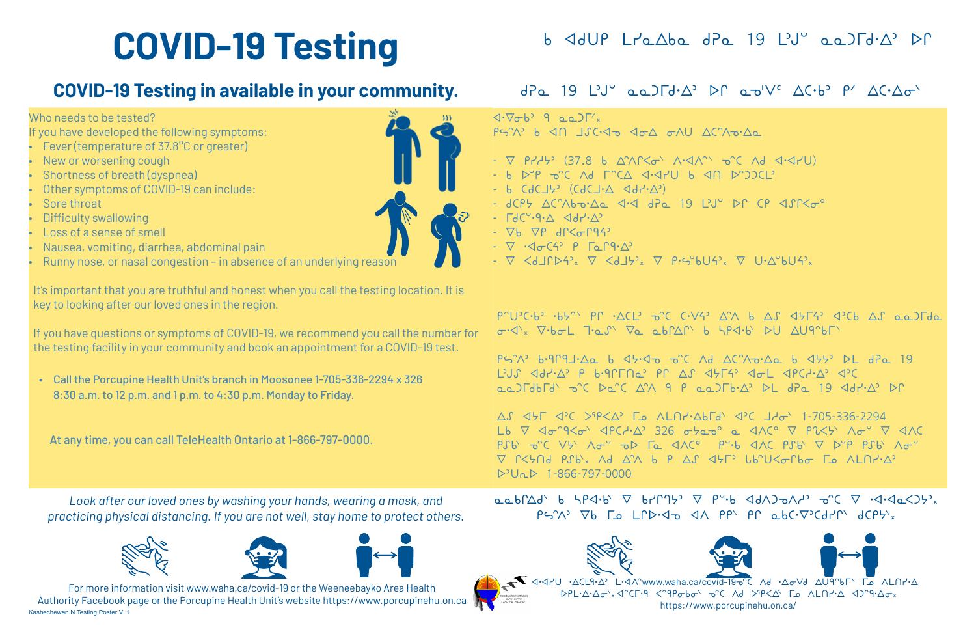### $b$   $\triangleleft$ dup Lra $\triangle$ ba dpa 19 Lu' aa) $\Gamma$ d. $\triangleleft$ ' Dr

## **COVID-19 Testing in available in your community.**

#### Who needs to be tested?

If you have developed the following symptoms:

- Fever (temperature of  $37.8^{\circ}$ C or greater)
- New or worsening cough
- Shortness of breath (dyspnea)
- Other symptoms of COVID-19 can include:
- Sore throat
- **Difficulty swallowing**
- Loss of a sense of smell
- Nausea, vomiting, diarrhea, abdominal pain
- Runny nose, or nasal congestion in absence of an underlying reason

It's important that you are truthful and honest when you call the testing location. It is key to looking after our loved ones in the region.

Kashechewan N Testing Poster V. 1 For more information visit www.waha.ca/covid-19 or the Weeneebayko Area Health Authority Facebook page or the Porcupine Health Unit's website https://www.porcupinehu.on.ca



### $dPa$  19  $LJ^{\circ}$  aa) $Td^{\circ}$  of ab'V'  $\Delta$ ( $\cdot b^{\circ}$   $\beta'$   $\Delta$ ( $\cdot \Delta \sigma^{\circ}$ )

 $\langle \cdot \nabla \sigma b \cdot \nabla \cdot \mathbf{Q} \cdot \mathbf{Q} \cdot \mathbf{Q} \cdot \nabla \cdot \mathbf{Q} \cdot \mathbf{Q} \cdot \mathbf{Q} \cdot \mathbf{Q} \cdot \mathbf{Q} \cdot \mathbf{Q} \cdot \mathbf{Q} \cdot \mathbf{Q} \cdot \mathbf{Q} \cdot \mathbf{Q} \cdot \mathbf{Q} \cdot \mathbf{Q} \cdot \mathbf{Q} \cdot \mathbf{Q} \cdot \mathbf{Q} \cdot \mathbf{Q} \cdot \mathbf{Q} \cdot \mathbf{Q} \cdot \mathbf{Q} \cdot \mathbf{Q} \cdot \mathbf{Q} \cdot \mathbf$  $PS'N$  b an  $JIC \cdot 4\sigma$  are  $\sigma \wedge U$  acro $\Delta \sigma$ .

- $\nabla$   $P Y Y$ <sup>2</sup> (37.8 b  $\Delta^n \Lambda^n \leq \Delta^n \Lambda^{n}$   $\Delta^n C$  and  $\Delta^n \Delta^n U$ )
- $-$  6 D  $P$   $C$   $\wedge$   $C$   $C$   $\wedge$   $C$   $\wedge$   $C$   $\wedge$   $C$   $\wedge$   $C$   $\wedge$   $C$   $\wedge$   $C$   $\wedge$   $C$   $\wedge$   $C$   $\wedge$   $C$   $\wedge$   $C$   $\wedge$   $C$   $\wedge$   $C$   $\wedge$   $C$
- $-$  P CACTA, (CACT $\cdot \nabla$  <a>
- JCP5 ACMb0.Aa 4.4 JPa 19 LV DP CP 4SP<0.
- $\Gamma$ dC $\sim$ -d $\cdot \nabla$   $\prec$ dd $\cdot$ - $\triangledown$
- $\nabla$ b  $\nabla$ P dr $\lt\sigma$ r94'
- $-\nabla \cdot \langle \sigma(\mathsf{A}) \rho \rangle$   $\Gamma_{\mathsf{A}} \cap \mathsf{A}$
- $\overline{y}$   $\overline{y}$   $\overline{y}$   $\overline{y}$   $\overline{y}$   $\overline{y}$   $\overline{y}$   $\overline{y}$   $\overline{y}$   $\overline{y}$   $\overline{y}$   $\overline{y}$   $\overline{y}$   $\overline{y}$   $\overline{y}$   $\overline{y}$   $\overline{y}$   $\overline{y}$   $\overline{y}$   $\overline{y}$   $\overline{y}$   $\overline{y}$   $\overline{y}$   $\overline{y}$   $\overline{$

 $P^{\circ}U^{\circ}C^{\circ}b^{\circ}$   $b^{\circ}b^{\circ}$  of  $C^{\circ}U^{\circ}A^{\circ}$  of  $C^{\circ}V^{\circ}A^{\circ}$  of  $A^{\circ}A^{\circ}B^{\circ}A^{\circ}C$  of  $A^{\circ}B^{\circ}A^{\circ}C$  of  $A^{\circ}B^{\circ}A^{\circ}C$  $\sigma$ ·</>  $\sqrt{2}$   $\sqrt{2}$   $\sqrt{2}$   $\sqrt{2}$   $\sqrt{2}$   $\sqrt{2}$   $\sqrt{2}$   $\sqrt{2}$   $\sqrt{2}$   $\sqrt{2}$   $\sqrt{2}$   $\sqrt{2}$   $\sqrt{2}$   $\sqrt{2}$   $\sqrt{2}$   $\sqrt{2}$   $\sqrt{2}$   $\sqrt{2}$   $\sqrt{2}$   $\sqrt{2}$   $\sqrt{2}$   $\sqrt{2}$   $\sqrt{2}$   $\sqrt{2}$   $\sqrt{2}$   $\sqrt{2}$   $\sqrt{$ 

 $P5^{\prime\prime}$  b.9 $P91^{\prime}\Delta$ a b  $45^{\prime}$ do o'C Ad  $\Delta$ C'Ao $\Delta$ a b  $45^{\prime}$  DL d $Pa$  19  $LJJ$   $dH \cdot \Delta$  P  $P \cdot dL \cap d$  Pr  $\Delta J$   $dH \cdot dL$   $dL$   $dR \cdot \Delta$   $dC$ aa)[db[d' o'C Da'C A'A 9 P aa)[b.A' DL dPa 19 <dd'.A' DC

AJ < 4705-336-2294 ^- ( ΔΙΔΥ'ΔΡΙΑ) APC + 1-705-336-2294 Lb  $\nabla$   $\triangleleft \sigma^0 \triangleleft \langle \sigma^1 \rangle \triangleleft \rangle$  326  $\sigma$ ba $\sigma^0$  a  $\triangleleft \triangleleft \wedge \zeta^0$   $\nabla$   $\rho \vee \langle \sigma^2 \rangle \triangleleft \wedge \sigma^2 \rangle$  $P36'$  o'C Vb'  $\Lambda\sigma^{\circ}$  ob  $\Gamma\alpha$   $\triangleleft \Lambda C^{\circ}$   $P^{\circ}b$   $\triangleleft \Lambda C$   $P36'$   $\nabla$   $D^{\circ}P$   $P36'$   $\Lambda\sigma^{\circ}$  $\nabla$   $\nabla$   $\nabla$   $\nabla$   $\nabla$   $\nabla$   $\nabla$   $\nabla$   $\nabla$   $\nabla$   $\nabla$   $\nabla$   $\nabla$   $\nabla$   $\nabla$   $\nabla$   $\nabla$   $\nabla$   $\nabla$   $\nabla$   $\nabla$   $\nabla$   $\nabla$   $\nabla$   $\nabla$   $\nabla$   $\nabla$   $\nabla$   $\nabla$   $\nabla$   $\nabla$   $\nabla$   $\nabla$   $\nabla$   $\nabla$   $\nabla$   $\nabla$  $P<sup>0</sup>U<sub>n</sub>P$  1-866-797-0000

If you have questions or symptoms of COVID-19, we recommend you call the number for the testing facility in your community and book an appointment for a COVID-19 test.

> $aab\Delta d$  b  $hQ_1b$   $\nabla$   $bHQ_2$   $\nabla$   $P^{\nu}b$   $d\Delta b$   $\Delta d^{\nu}$   $\sigma^{\nu}C$   $\nabla$   $\Delta d^{\nu}d\Delta b^{\nu}$





WWW.waha.ca/covid-19-0C Ad .AGVd AU906F To ALNP.A » DPL·Δ·Δσ<sup>-</sup> x d^CL·9 < "9Pσbσ<sup>-</sup> σ<sup>ο</sup> C Λd > "Ρ<Δ' Γω ΛLΠΥ·Δ <10"9·Δσ x https://www.porcupinehu.on.ca/

• Call the Porcupine Health Unit's branch in Moosonee 1-705-336-2294 x 326 8:30 a.m. to 12 p.m. and 1 p.m. to 4:30 p.m. Monday to Friday.

At any time, you can call TeleHealth Ontario at 1-866-797-0000.

*Look after our loved ones by washing your hands, wearing a mask, and practicing physical distancing. If you are not well, stay home to protect others.*





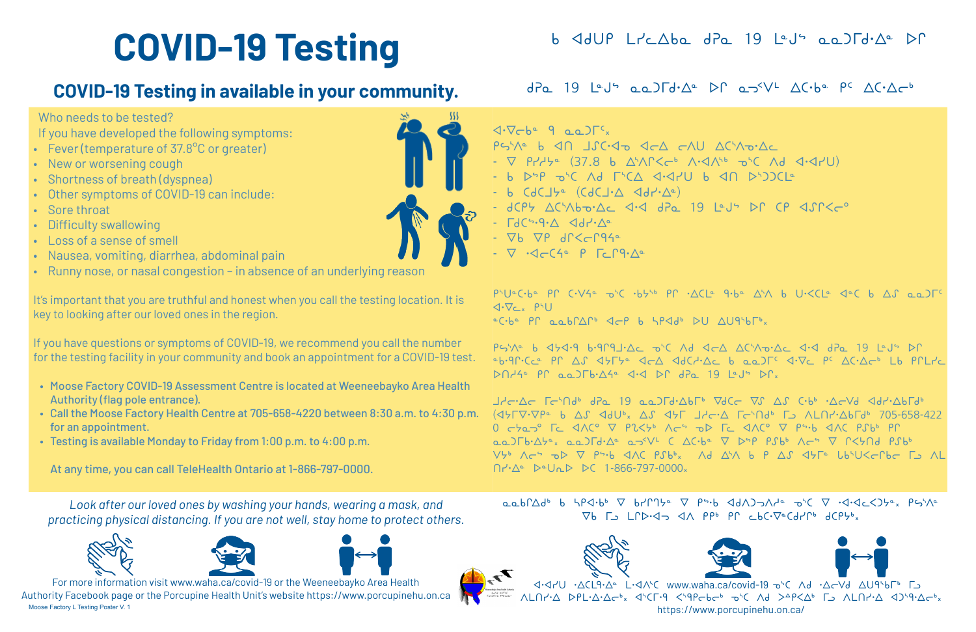- If you have developed the following symptoms:
- Fever (temperature of 37.8°C or greater)
- New or worsening cough
- Shortness of breath (dyspnea)
- • Other symptoms of COVID-19 can include:
- Sore throat
- • Difficulty swallowing
- • Loss of a sense of smell
- Nausea, vomiting, diarrhea, abdominal pain
- Runny nose, or nasal congestion in absence of an underlying reason

## **COVID-19 Testing in available in your community.**

#### Who needs to be tested?

It's important that you are truthful and honest when you call the testing location. It is key to looking after our loved ones in the region.

If you have questions or symptoms of COVID-19, we recommend you call the number for the testing facility in your community and book an appointment for a COVID-19 test.

- Moose Factory COVID-19 Assessment Centre is located at Weeneebayko Area Health Authority (flag pole entrance).
- Call the Moose Factory Health Centre at 705-658-4220 between 8:30 a.m. to 4:30 p.m. for an appointment.
- Testing is available Monday to Friday from 1:00 p.m. to 4:00 p.m.

Moose Factory L Testing Poster V. 1 For more information visit www.waha.ca/covid-19 or the Weeneebayko Area Health Authority Facebook page or the Porcupine Health Unit's website https://www.porcupinehu.on.ca



 $\sqrt{C}$ b<sup>a</sup> 9 ap) $\Gamma$ <sup>c</sup>x PSYAº 6 40 JSC.40 4CA CAU ACYA0.AC  $\nabla$   $PY^{\mu\nu}$  (37.8 b  $\Delta^3\Lambda\Gamma\leq C^6$   $\Lambda\cdot\Delta\Lambda^{56}$   $\Delta^5C$   $\Lambda d$   $\Delta\cdot\Delta7U$ ) - - P C9C770 (C9C7.V <194.Vo) - JCPS ACSAbo. Ac 4.4 JPa 19 Leus DP CP 4SP<cº

- $\Gamma dC$   $\rightarrow$   $9\cdot \Delta$   $\Delta d$   $\rightarrow$   $\Delta e$
- $\nabla b$   $\nabla P$   $dC < -P94$
- $\nabla \cdot 2 C$

 $\sqrt{C_x}$   $P^5U$ 

ac.ba PP aabpapp dap b SPAdo DU AU956Fox

PS: 19 Leus D. PS: 19 Leus D. PS: 19 AC: 19 Leus D. PS: 19 Leus D.  $D\cap A$ <sup>2</sup> PP aa) $\Gamma$ b· $\Delta$ 4° < 4·<  $D\cap A$  d $P$ a 19 L°J°  $D\cap x$ 

<u>Jdeide Feindu de 19 aadfdigte vace vs as cibuide daridbfdu</u>  $(45\Gamma\nabla\cdot\nabla P^2 + 6\Delta S)$   $4dU^6$ ,  $\Delta S$   $45\Gamma$   $J$ d $\sim$  $\Delta$   $\Gamma$  $\sim$  $\Lambda$ d $^6$   $\Gamma$  $\supset$   $\Lambda$ LN $\sim$  $\Delta b$ Fd $^6$  705-658-422  $0$  chap<sup>o</sup> [c  $4\Lambda$ C<sup>o</sup>  $\nabla$   $P2\leq b$ <sup>6</sup>  $\Lambda$ c<sup>s</sup>  $\sigma$  $\triangleright$  [c  $4\Lambda$ C<sup>o</sup>  $\nabla$   $P^{\circ}$ ·b  $4\Lambda$ C  $P3b^{\circ}$   $P\Gamma$  $QQQ$  $D^{\{b\}}\Delta^{\{a\}}$  and  $D^{\{c\}}\Delta^{\{c\}}$  and  $V^{\{c\}}$  and  $Q^{\{c\}}$  be  $Q^{\{c\}}$  be  $Q^{\{c\}}$  be  $Q^{\{c\}}$  be  $Q^{\{c\}}$   $\bigcap Y^{\bullet} \Delta^{\circ}$   $\triangleright^{\circ} \bigcup_{\Lambda} \triangleright \triangleright C$  1-866-797-0000<sub>x</sub>





At any time, you can call TeleHealth Ontario at 1-866-797-0000.

*Look after our loved ones by washing your hands, wearing a mask, and practicing physical distancing. If you are not well, stay home to protect others.*







 $\boldsymbol{\mathcal{F}}$  www.waha.ca/covid-19 ΛLΠΗΔ DPL.Δ.ΔCbx d'CL.9 <'9PCbCb d'C Ad >AP<Δb LJ ALΠΗΔ dJ'9.ΔCbx https://www.porcupinehu.on.ca/

- $\nabla b$   $\Gamma$   $\Box$   $\Gamma$   $\Gamma$   $\triangleright$   $\lhd$   $\lhd$   $\Lambda$   $\rho$   $\rho$   $\rho$   $\rho$   $\rho$   $\lhd$   $\lhd$   $\lhd$   $\lhd$   $\lhd$   $\lhd$   $\lhd$   $\lhd$   $\lhd$   $\lhd$   $\lhd$   $\lhd$   $\lhd$   $\lhd$   $\lhd$   $\lhd$   $\lhd$   $\lhd$   $\lhd$   $\lhd$   $\lhd$   $\lhd$   $\lhd$   $\lhd$
- $a \cdot b \cdot \Delta d^b$  b  $h^q \cdot b^b$   $\nabla$   $b^r \cdot 1 + b^c$   $\nabla$   $f^s \cdot b$   $d \cdot \Delta d \cdot \Delta e$   $\nabla$   $\Delta d \cdot \Delta d \cdot \Delta e$
- C-810.CCC PP AS J7F72 JCA JdCC.AC b aa)FC J.Vc PC AC.ACD Lb PPLPC
- 
- $P^{\mu}U^{\alpha}C^{\alpha}b^{\alpha}$   $PP$   $C^{\mu}V^{\alpha}$   $\rightarrow$   $C^{\mu}b^{\mu}P$   $PP$   $\Delta C$   $P^{\alpha}$   $Q^{\mu}A$   $P$   $Q^{\mu}C$   $Q^{\alpha}C$   $P$   $\Delta C$   $Q$   $Q$   $Q$
- 
- 
- $dPa$  19  $\lfloor e \rfloor$  and  $\lceil d \cdot \Delta^e \rceil$  of  $\Delta C \cdot b^e$  and  $\Delta C \cdot \Delta \tau^b$
- $b$   $\triangleleft$ dup L $r \triangleleft b$ a d $Pa$  19 Laus aa) $\Gamma d \cdot \triangle^a$  Dr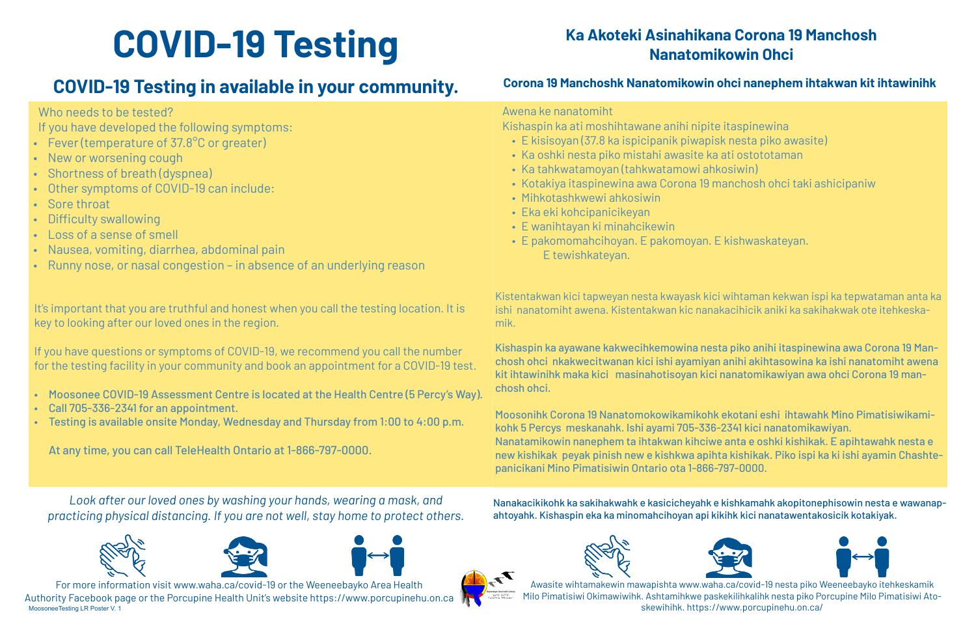# **COVID-19 Testing in available in your community.**

#### Who needs to be tested?

If you have developed the following symptoms:

- Fever (temperature of 37.8°C or greater)
- New or worsening cough
- • Shortness of breath (dyspnea)
- Other symptoms of COVID-19 can include:
- Sore throat
- **Difficulty swallowing**
- • Loss of a sense of smell
- • Nausea, vomiting, diarrhea, abdominal pain
- • Runny nose, or nasal congestion in absence of an underlying reason

#### It's important that you are truthful and honest when you call the testing location. It is key to looking after our loved ones in the region.

MoosoneeTesting LR Poster V. 1 For more information visit www.waha.ca/covid-19 or the Weeneebayko Area Health Authority Facebook page or the Porcupine Health Unit's website https://www.porcupinehu.on.ca

If you have questions or symptoms of COVID-19, we recommend you call the number for the testing facility in your community and book an appointment for a COVID-19 test.

- Moosonee COVID-19 Assessment Centre is located at the Health Centre (5 Percy's Way).
- Call 705-336-2341 for an appointment.
- Testing is available onsite Monday, Wednesday and Thursday from 1:00 to 4:00 p.m.

Kishaspin ka ati moshihtawane anihi nipite itaspinewina • E kisisoyan (37.8 ka ispicipanik piwapisk nesta piko awasite) • Ka oshki nesta piko mistahi awasite ka ati ostototaman • Ka tahkwatamoyan (tahkwatamowi ahkosiwin) • Kotakiya itaspinewina awa Corona 19 manchosh ohci taki ashicipaniw

At any time, you can call TeleHealth Ontario at 1-866-797-0000.

*Look after our loved ones by washing your hands, wearing a mask, and practicing physical distancing. If you are not well, stay home to protect others.*





### **Ka Akoteki Asinahikana Corona 19 Manchosh Nanatomikowin Ohci**





#### **Corona 19 Manchoshk Nanatomikowin ohci nanephem ihtakwan kit ihtawinihk**

Awena ke nanatomiht

- 
- 
- 
- 
- • Mihkotashkwewi ahkosiwin
- • Eka eki kohcipanicikeyan
- • E wanihtayan ki minahcikewin
- E pakomomahcihoyan. E pakomoyan. E kishwaskateyan. E tewishkateyan.

Kistentakwan kici tapweyan nesta kwayask kici wihtaman kekwan ispi ka tepwataman anta ka ishi nanatomiht awena. Kistentakwan kic nanakacihicik aniki ka sakihakwak ote itehkeskamik.

Kishaspin ka ayawane kakwecihkemowina nesta piko anihi itaspinewina awa Corona 19 Manchosh ohci nkakwecitwanan kici ishi ayamiyan anihi akihtasowina ka ishi nanatomiht awena kit ihtawinihk maka kici masinahotisoyan kici nanatomikawiyan awa ohci Corona 19 manchosh ohci.

Moosonihk Corona 19 Nanatomokowikamikohk ekotani eshi ihtawahk Mino Pimatisiwikamikohk 5 Percys meskanahk. Ishi ayami 705-336-2341 kici nanatomikawiyan. Nanatamikowin nanephem ta ihtakwan kihciwe anta e oshki kishikak. E apihtawahk nesta e new kishikak peyak pinish new e kishkwa apihta kishikak. Piko ispi ka ki ishi ayamin Chashtepanicikani Mino Pimatisiwin Ontario ota 1-866-797-0000.

Nanakacikikohk ka sakihakwahk e kasicicheyahk e kishkamahk akopitonephisowin nesta e wawanapahtoyahk. Kishaspin eka ka minomahcihoyan api kikihk kici nanatawentakosicik kotakiyak.





Awasite wihtamakewin mawapishta www.waha.ca/covid-19 nesta piko Weeneebayko itehkeskamik Milo Pimatisiwi Okimawiwihk. Ashtamihkwe paskekilihkalihk nesta piko Porcupine Milo Pimatisiwi Atoskewihihk. https://www.porcupinehu.on.ca/